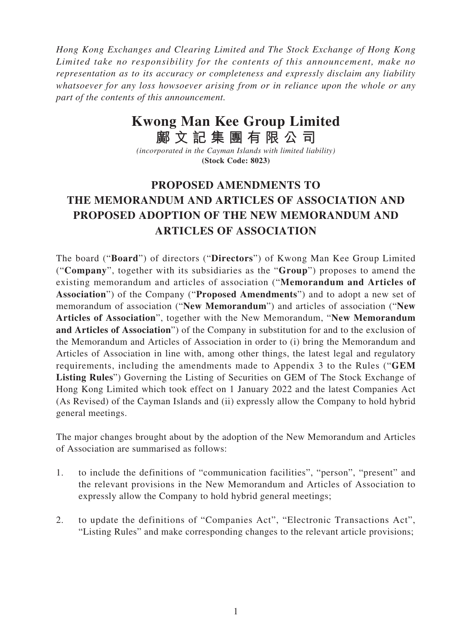*Hong Kong Exchanges and Clearing Limited and The Stock Exchange of Hong Kong Limited take no responsibility for the contents of this announcement, make no representation as to its accuracy or completeness and expressly disclaim any liability whatsoever for any loss howsoever arising from or in reliance upon the whole or any part of the contents of this announcement.*

## **Kwong Man Kee Group Limited**

**鄺文記集團有限公司** *(incorporated in the Cayman Islands with limited liability)* **(Stock Code: 8023)**

## **PROPOSED AMENDMENTS TO THE MEMORANDUM AND ARTICLES OF ASSOCIATION AND PROPOSED ADOPTION OF THE NEW MEMORANDUM AND ARTICLES OF ASSOCIATION**

The board ("**Board**") of directors ("**Directors**") of Kwong Man Kee Group Limited ("**Company**", together with its subsidiaries as the "**Group**") proposes to amend the existing memorandum and articles of association ("**Memorandum and Articles of Association**") of the Company ("**Proposed Amendments**") and to adopt a new set of memorandum of association ("**New Memorandum**") and articles of association ("**New Articles of Association**", together with the New Memorandum, "**New Memorandum and Articles of Association**") of the Company in substitution for and to the exclusion of the Memorandum and Articles of Association in order to (i) bring the Memorandum and Articles of Association in line with, among other things, the latest legal and regulatory requirements, including the amendments made to Appendix 3 to the Rules ("**GEM Listing Rules**") Governing the Listing of Securities on GEM of The Stock Exchange of Hong Kong Limited which took effect on 1 January 2022 and the latest Companies Act (As Revised) of the Cayman Islands and (ii) expressly allow the Company to hold hybrid general meetings.

The major changes brought about by the adoption of the New Memorandum and Articles of Association are summarised as follows:

- 1. to include the definitions of "communication facilities", "person", "present" and the relevant provisions in the New Memorandum and Articles of Association to expressly allow the Company to hold hybrid general meetings;
- 2. to update the definitions of "Companies Act", "Electronic Transactions Act", "Listing Rules" and make corresponding changes to the relevant article provisions;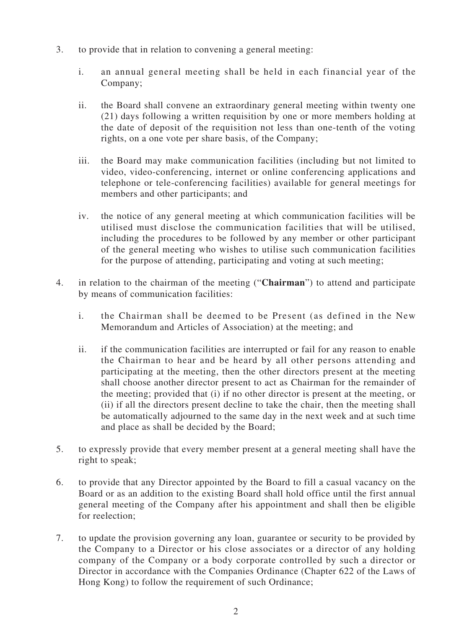- 3. to provide that in relation to convening a general meeting:
	- i. an annual general meeting shall be held in each financial year of the Company;
	- ii. the Board shall convene an extraordinary general meeting within twenty one (21) days following a written requisition by one or more members holding at the date of deposit of the requisition not less than one-tenth of the voting rights, on a one vote per share basis, of the Company;
	- iii. the Board may make communication facilities (including but not limited to video, video-conferencing, internet or online conferencing applications and telephone or tele-conferencing facilities) available for general meetings for members and other participants; and
	- iv. the notice of any general meeting at which communication facilities will be utilised must disclose the communication facilities that will be utilised, including the procedures to be followed by any member or other participant of the general meeting who wishes to utilise such communication facilities for the purpose of attending, participating and voting at such meeting;
- 4. in relation to the chairman of the meeting ("**Chairman**") to attend and participate by means of communication facilities:
	- i. the Chairman shall be deemed to be Present (as defined in the New Memorandum and Articles of Association) at the meeting; and
	- ii. if the communication facilities are interrupted or fail for any reason to enable the Chairman to hear and be heard by all other persons attending and participating at the meeting, then the other directors present at the meeting shall choose another director present to act as Chairman for the remainder of the meeting; provided that (i) if no other director is present at the meeting, or (ii) if all the directors present decline to take the chair, then the meeting shall be automatically adjourned to the same day in the next week and at such time and place as shall be decided by the Board;
- 5. to expressly provide that every member present at a general meeting shall have the right to speak;
- 6. to provide that any Director appointed by the Board to fill a casual vacancy on the Board or as an addition to the existing Board shall hold office until the first annual general meeting of the Company after his appointment and shall then be eligible for reelection;
- 7. to update the provision governing any loan, guarantee or security to be provided by the Company to a Director or his close associates or a director of any holding company of the Company or a body corporate controlled by such a director or Director in accordance with the Companies Ordinance (Chapter 622 of the Laws of Hong Kong) to follow the requirement of such Ordinance;